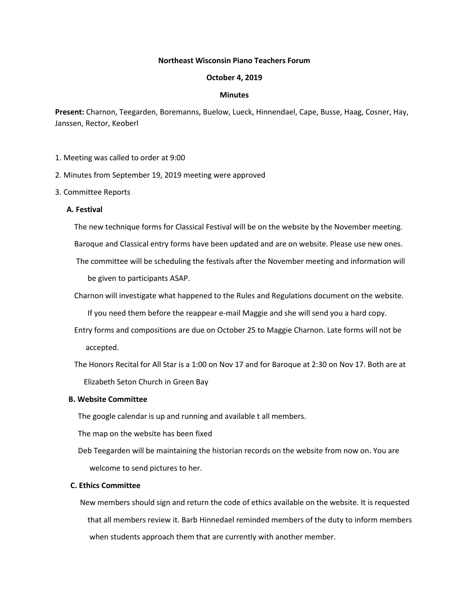### **Northeast Wisconsin Piano Teachers Forum**

#### **October 4, 2019**

### **Minutes**

**Present:** Charnon, Teegarden, Boremanns, Buelow, Lueck, Hinnendael, Cape, Busse, Haag, Cosner, Hay, Janssen, Rector, Keoberl

- 1. Meeting was called to order at 9:00
- 2. Minutes from September 19, 2019 meeting were approved
- 3. Committee Reports

### **A. Festival**

The new technique forms for Classical Festival will be on the website by the November meeting.

Baroque and Classical entry forms have been updated and are on website. Please use new ones.

- The committee will be scheduling the festivals after the November meeting and information will be given to participants ASAP.
- Charnon will investigate what happened to the Rules and Regulations document on the website.

If you need them before the reappear e-mail Maggie and she will send you a hard copy.

 Entry forms and compositions are due on October 25 to Maggie Charnon. Late forms will not be accepted.

 The Honors Recital for All Star is a 1:00 on Nov 17 and for Baroque at 2:30 on Nov 17. Both are at Elizabeth Seton Church in Green Bay

## **B. Website Committee**

The google calendar is up and running and available t all members.

The map on the website has been fixed

 Deb Teegarden will be maintaining the historian records on the website from now on. You are welcome to send pictures to her.

# **C. Ethics Committee**

 New members should sign and return the code of ethics available on the website. It is requested that all members review it. Barb Hinnedael reminded members of the duty to inform members when students approach them that are currently with another member.